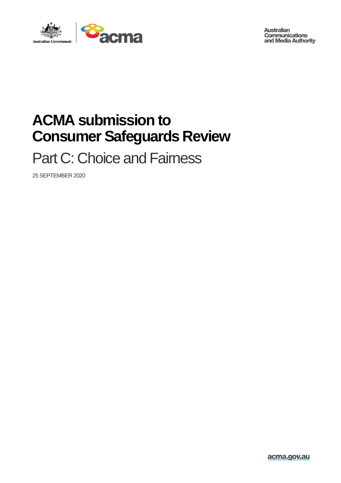

**Australian Communications** and Media Authority

## **ACMA submission to Consumer Safeguards Review**

Part C: Choice and Fairness

25 SEPTEMBER 2020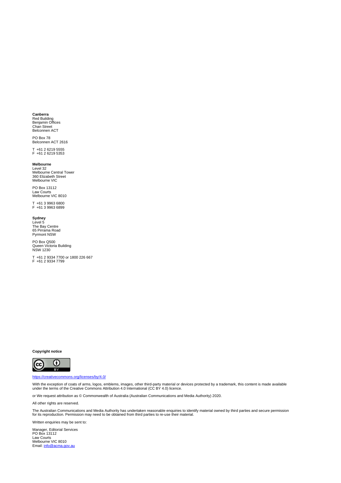#### **Canberra**

Red Building Benjamin Offices Chan Street Belconnen ACT

PO Box 78 Belconnen ACT 2616

T +61 2 6219 5555 F +61 2 6219 5353

#### **Melbourne**

Level 32 Melbourne Central Tower 360 Elizabeth Street Melbourne VIC

PO Box 13112 Law Courts Melbourne VIC 8010

T +61 3 9963 6800 F +61 3 9963 6899

**Sydney** Level 5 The Bay Centre 65 Pirrama Road Pyrmont NSW

PO Box Q500 Queen Victoria Building NSW 1230

T +61 2 9334 7700 or 1800 226 667 F +61 2 9334 7799

**Copyright notice**



<https://creativecommons.org/licenses/by/4.0/>

With the exception of coats of arms, logos, emblems, images, other third-party material or devices protected by a trademark, this content is made available<br>under the terms of the Creative Commons Attribution 4.0 Internatio

or We request attribution as © Commonwealth of Australia (Australian Communications and Media Authority) 2020.

All other rights are reserved.

The Australian Communications and Media Authority has undertaken reasonable enquiries to identify material owned by third parties and secure permission<br>for its reproduction. Permission may need to be obtained from third pa

Written enquiries may be sent to:

Manager, Editorial Services PO Box 13112 Law Courts<br>Melbourne VIC 8010<br>Email: <u>info@acma.gov.au</u>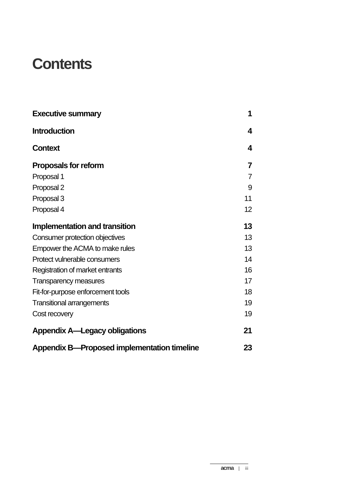## **Contents**

| <b>Executive summary</b>                           | 1  |
|----------------------------------------------------|----|
| <b>Introduction</b>                                | 4  |
| <b>Context</b>                                     | 4  |
| <b>Proposals for reform</b>                        | 7  |
| Proposal 1                                         | 7  |
| Proposal 2                                         | 9  |
| Proposal 3                                         | 11 |
| Proposal 4                                         | 12 |
| <b>Implementation and transition</b>               | 13 |
| Consumer protection objectives                     | 13 |
| Empower the ACMA to make rules                     | 13 |
| Protect vulnerable consumers                       | 14 |
| Registration of market entrants                    | 16 |
| <b>Transparency measures</b>                       | 17 |
| Fit-for-purpose enforcement tools                  | 18 |
| <b>Transitional arrangements</b>                   | 19 |
| Cost recovery                                      | 19 |
| <b>Appendix A—Legacy obligations</b>               | 21 |
| <b>Appendix B-Proposed implementation timeline</b> | 23 |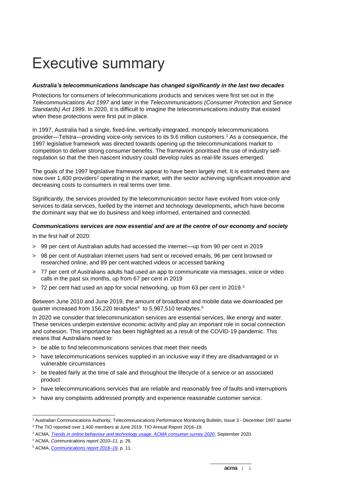## Executive summary

#### *Australia's telecommunications landscape has changed significantly in the last two decades*

Protections for consumers of telecommunications products and services were first set out in the *Telecommunications Act 1997* and later in the *Telecommunications (Consumer Protection and Service Standards) Act 1999.* In 2020, it is difficult to imagine the telecommunications industry that existed when these protections were first put in place.

In 1997, Australia had a single, fixed-line, vertically-integrated, monopoly telecommunications provider—Telstra—providing voice-only services to its 9.6 million customers. <sup>1</sup> As a consequence, the 1997 legislative framework was directed towards opening up the telecommunications market to competition to deliver strong consumer benefits. The framework prioritised the use of industry selfregulation so that the then nascent industry could develop rules as real-life issues emerged.

The goals of the 1997 legislative framework appear to have been largely met. It is estimated there are now over 1,400 providers<sup>2</sup> operating in the market, with the sector achieving significant innovation and decreasing costs to consumers in real terms over time.

Significantly, the services provided by the telecommunication sector have evolved from voice-only services to data services, fuelled by the internet and technology developments, which have become the dominant way that we do business and keep informed, entertained and connected.

#### *Communications services are now essential and are at the centre of our economy and society*

In the first half of 2020:

- > 99 per cent of Australian adults had accessed the internet—up from 90 per cent in 2019
- > 98 per cent of Australian internet users had sent or received emails, 96 per cent browsed or researched online, and 89 per cent watched videos or accessed banking
- > 77 per cent of Australians adults had used an app to communicate via messages, voice or video calls in the past six months, up from 67 per cent in 2019
- $>$  72 per cent had used an app for social networking, up from 63 per cent in 2019.<sup>3</sup>

Between June 2010 and June 2019, the amount of broadband and mobile data we downloaded per quarter increased from 156,220 terabytes<sup>4</sup> to 5,987,510 terabytes.<sup>5</sup>

In 2020 we consider that telecommunication services are essential services, like energy and water. These services underpin extensive economic activity and play an important role in social connection and cohesion. This importance has been highlighted as a result of the COVID-19 pandemic. This means that Australians need to:

- > be able to find telecommunications services that meet their needs
- > have telecommunications services supplied in an inclusive way if they are disadvantaged or in vulnerable circumstances
- > be treated fairly at the time of sale and throughout the lifecycle of a service or an associated product
- > have telecommunications services that are reliable and reasonably free of faults and interruptions
- > have any complaints addressed promptly and experience reasonable customer service.

<sup>1</sup> Australian Communications Authority, Telecommunications Performance Monitoring Bulletin, Issue 3 - December 1997 quarter <sup>2</sup> The TIO reported over 1,400 members at June 2019. TIO Annual Report 2018–19.

<sup>3</sup> ACMA, *[Trends in online behaviour and technology usage: ACMA consumer survey 2020](https://acma.createsend1.com/t/d-l-ctrxkl-l-t/)*, September 2020.

<sup>4</sup> ACMA, *Communications report 2010–11*, p. 26*.*

<sup>5</sup> ACMA, *[Communications report 2018–19](https://www.acma.gov.au/publications/2020-02/report/communications-report-2018-19)*, p. 11.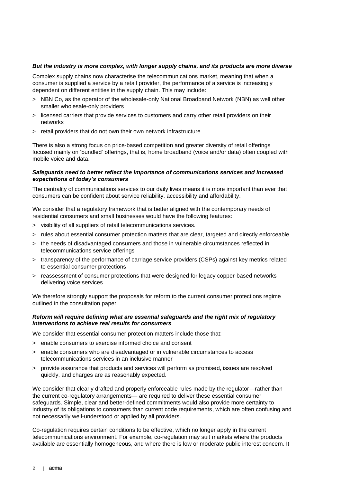#### *But the industry is more complex, with longer supply chains, and its products are more diverse*

Complex supply chains now characterise the telecommunications market, meaning that when a consumer is supplied a service by a retail provider, the performance of a service is increasingly dependent on different entities in the supply chain. This may include:

- > NBN Co, as the operator of the wholesale-only National Broadband Network (NBN) as well other smaller wholesale-only providers
- > licensed carriers that provide services to customers and carry other retail providers on their networks
- > retail providers that do not own their own network infrastructure.

There is also a strong focus on price-based competition and greater diversity of retail offerings focused mainly on 'bundled' offerings, that is, home broadband (voice and/or data) often coupled with mobile voice and data.

#### *Safeguards need to better reflect the importance of communications services and increased expectations of today's consumers*

The centrality of communications services to our daily lives means it is more important than ever that consumers can be confident about service reliability, accessibility and affordability.

We consider that a regulatory framework that is better aligned with the contemporary needs of residential consumers and small businesses would have the following features:

- > visibility of all suppliers of retail telecommunications services.
- > rules about essential consumer protection matters that are clear, targeted and directly enforceable
- > the needs of disadvantaged consumers and those in vulnerable circumstances reflected in telecommunications service offerings
- > transparency of the performance of carriage service providers (CSPs) against key metrics related to essential consumer protections
- > reassessment of consumer protections that were designed for legacy copper-based networks delivering voice services.

We therefore strongly support the proposals for reform to the current consumer protections regime outlined in the consultation paper.

#### *Reform will require defining what are essential safeguards and the right mix of regulatory interventions to achieve real results for consumers*

We consider that essential consumer protection matters include those that:

- > enable consumers to exercise informed choice and consent
- > enable consumers who are disadvantaged or in vulnerable circumstances to access telecommunications services in an inclusive manner
- > provide assurance that products and services will perform as promised, issues are resolved quickly, and charges are as reasonably expected.

We consider that clearly drafted and properly enforceable rules made by the regulator—rather than the current co-regulatory arrangements— are required to deliver these essential consumer safeguards. Simple, clear and better-defined commitments would also provide more certainty to industry of its obligations to consumers than current code requirements, which are often confusing and not necessarily well-understood or applied by all providers.

Co-regulation requires certain conditions to be effective, which no longer apply in the current telecommunications environment. For example, co-regulation may suit markets where the products available are essentially homogeneous, and where there is low or moderate public interest concern. It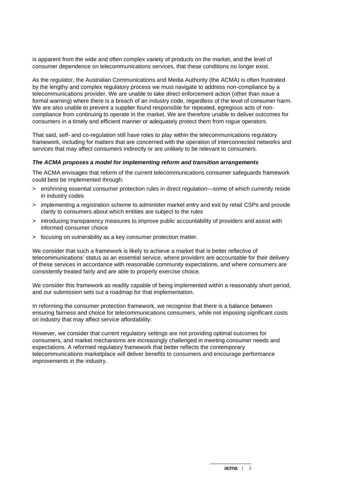is apparent from the wide and often complex variety of products on the market, and the level of consumer dependence on telecommunications services, that these conditions no longer exist.

As the regulator, the Australian Communications and Media Authority (the ACMA) is often frustrated by the lengthy and complex regulatory process we must navigate to address non-compliance by a telecommunications provider. We are unable to take direct enforcement action (other than issue a formal warning) where there is a breach of an industry code, regardless of the level of consumer harm. We are also unable to prevent a supplier found responsible for repeated, egregious acts of noncompliance from continuing to operate in the market. We are therefore unable to deliver outcomes for consumers in a timely and efficient manner or adequately protect them from rogue operators.

That said, self- and co-regulation still have roles to play within the telecommunications regulatory framework, including for matters that are concerned with the operation of interconnected networks and services that may affect consumers indirectly or are unlikely to be relevant to consumers.

#### *The ACMA proposes a model for implementing reform and transition arrangements*

The ACMA envisages that reform of the current telecommunications consumer safeguards framework could best be implemented through:

- > enshrining essential consumer protection rules in direct regulation—some of which currently reside in industry codes
- > implementing a registration scheme to administer market entry and exit by retail CSPs and provide clarity to consumers about which entities are subject to the rules
- > introducing transparency measures to improve public accountability of providers and assist with informed consumer choice
- > focusing on vulnerability as a key consumer protection matter.

We consider that such a framework is likely to achieve a market that is better reflective of telecommunications' status as an essential service, where providers are accountable for their delivery of these services in accordance with reasonable community expectations, and where consumers are consistently treated fairly and are able to properly exercise choice.

We consider this framework as readily capable of being implemented within a reasonably short period, and our submission sets out a roadmap for that implementation.

In reforming the consumer protection framework, we recognise that there is a balance between ensuring fairness and choice for telecommunications consumers, while not imposing significant costs on industry that may affect service affordability.

However, we consider that current regulatory settings are not providing optimal outcomes for consumers, and market mechanisms are increasingly challenged in meeting consumer needs and expectations. A reformed regulatory framework that better reflects the contemporary telecommunications marketplace will deliver benefits to consumers and encourage performance improvements in the industry.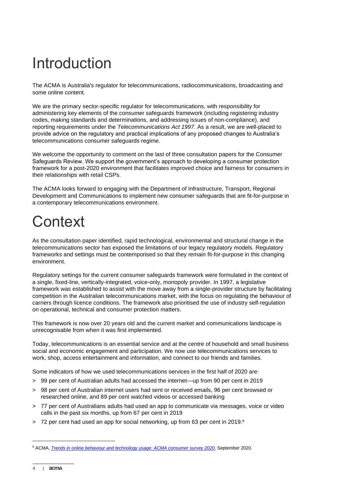## Introduction

The ACMA is Australia's regulator for telecommunications, radiocommunications, broadcasting and some online content.

We are the primary sector-specific regulator for telecommunications, with responsibility for administering key elements of the consumer safeguards framework (including registering industry codes, making standards and determinations, and addressing issues of non-compliance), and reporting requirements under the *Telecommunications Act 1997.* As a result, we are well-placed to provide advice on the regulatory and practical implications of any proposed changes to Australia's telecommunications consumer safeguards regime.

We welcome the opportunity to comment on the last of three consultation papers for the Consumer Safeguards Review. We support the government's approach to developing a consumer protection framework for a post-2020 environment that facilitates improved choice and fairness for consumers in their relationships with retail CSPs.

The ACMA looks forward to engaging with the Department of Infrastructure, Transport, Regional Development and Communications to implement new consumer safeguards that are fit-for-purpose in a contemporary telecommunications environment.

## **Context**

As the consultation paper identified, rapid technological, environmental and structural change in the telecommunications sector has exposed the limitations of our legacy regulatory models. Regulatory frameworks and settings must be contemporised so that they remain fit-for-purpose in this changing environment.

Regulatory settings for the current consumer safeguards framework were formulated in the context of a single, fixed-line, vertically-integrated, voice-only, monopoly provider. In 1997, a legislative framework was established to assist with the move away from a single-provider structure by facilitating competition in the Australian telecommunications market, with the focus on regulating the behaviour of carriers through licence conditions. The framework also prioritised the use of industry self-regulation on operational, technical and consumer protection matters.

This framework is now over 20 years old and the current market and communications landscape is unrecognisable from when it was first implemented.

Today, telecommunications is an essential service and at the centre of household and small business social and economic engagement and participation. We now use telecommunications services to work, shop, access entertainment and information, and connect to our friends and families.

Some indicators of how we used telecommunications services in the first half of 2020 are:

- > 99 per cent of Australian adults had accessed the internet—up from 90 per cent in 2019
- > 98 per cent of Australian internet users had sent or received emails, 96 per cent browsed or researched online, and 89 per cent watched videos or accessed banking
- > 77 per cent of Australians adults had used an app to communicate via messages, voice or video calls in the past six months, up from 67 per cent in 2019
- > 72 per cent had used an app for social networking, up from 63 per cent in 2019.<sup>6</sup>

<sup>6</sup> ACMA, *[Trends in online behaviour and technology usage: ACMA consumer survey 2020](https://acma.createsend1.com/t/d-l-ctrxkl-l-t/)*, September 2020.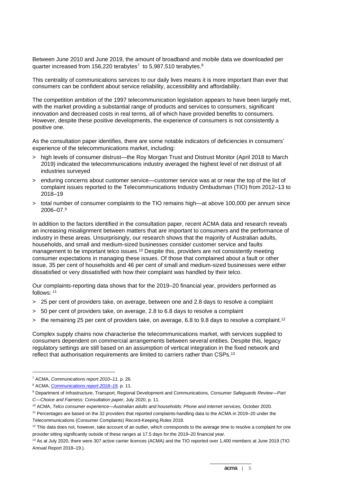Between June 2010 and June 2019, the amount of broadband and mobile data we downloaded per quarter increased from 156,220 terabytes<sup>7</sup> to 5,987,510 terabytes.<sup>8</sup>

This centrality of communications services to our daily lives means it is more important than ever that consumers can be confident about service reliability, accessibility and affordability.

The competition ambition of the 1997 telecommunication legislation appears to have been largely met, with the market providing a substantial range of products and services to consumers, significant innovation and decreased costs in real terms, all of which have provided benefits to consumers. However, despite these positive developments, the experience of consumers is not consistently a positive one.

As the consultation paper identifies, there are some notable indicators of deficiencies in consumers' experience of the telecommunications market, including:

- > high levels of consumer distrust—the Roy Morgan Trust and Distrust Monitor (April 2018 to March 2019) indicated the telecommunications industry averaged the highest level of net distrust of all industries surveyed
- > enduring concerns about customer service—customer service was at or near the top of the list of complaint issues reported to the Telecommunications Industry Ombudsman (TIO) from 2012–13 to 2018–19
- > total number of consumer complaints to the TIO remains high—at above 100,000 per annum since 2006–07. 9

In addition to the factors identified in the consultation paper, recent ACMA data and research reveals an increasing misalignment between matters that are important to consumers and the performance of industry in these areas. Unsurprisingly, our research shows that the majority of Australian adults, households, and small and medium-sized businesses consider customer service and faults management to be important telco issues.<sup>10</sup> Despite this, providers are not consistently meeting consumer expectations in managing these issues. Of those that complained about a fault or other issue, 35 per cent of households and 46 per cent of small and medium-sized businesses were either dissatisfied or very dissatisfied with how their complaint was handled by their telco.

Our complaints-reporting data shows that for the 2019–20 financial year, providers performed as follows: 11

- > 25 per cent of providers take, on average, between one and 2.8 days to resolve a complaint
- > 50 per cent of providers take, on average, 2.8 to 6.8 days to resolve a complaint
- > the remaining 25 per cent of providers take, on average, 6.8 to 9.8 days to resolve a complaint.<sup>12</sup>

Complex supply chains now characterise the telecommunications market, with services supplied to consumers dependent on commercial arrangements between several entities. Despite this, legacy regulatory settings are still based on an assumption of vertical integration in the fixed network and reflect that authorisation requirements are limited to carriers rather than CSPs.<sup>13</sup>

<sup>7</sup> ACMA, *Communications report 2010–11*, p. 26*.*

<sup>8</sup> ACMA, *[Communications report 2018–19](https://www.acma.gov.au/publications/2020-02/report/communications-report-2018-19)*, p. 11.

<sup>9</sup> Department of Infrastructure, Transport, Regional Development and Communications, *Consumer Safeguards Review—Part C—Choice and Fairness: Consultation paper*, July 2020, p. 11.

<sup>10</sup> ACMA, *Telco consumer experience—Australian adults and households: Phone and internet services,* October 2020.

<sup>11</sup> Percentages are based on the 32 providers that reported complaints-handling data to the ACMA in 2019–20 under the Telecommunications (Consumer Complaints) Record-Keeping Rules 2018.

 $12$  This data does not, however, take account of an outlier, which corresponds to the average time to resolve a complaint for one provider sitting significantly outside of these ranges at 17.5 days for the 2019–20 financial year.

<sup>&</sup>lt;sup>13</sup> As at July 2020, there were 307 active carrier licences (ACMA) and the TIO reported over 1,400 members at June 2019 (TIO Annual Report 2018–19.).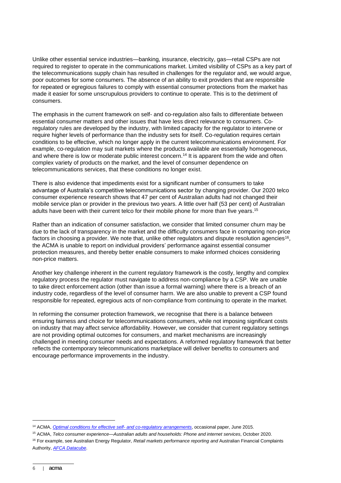Unlike other essential service industries—banking, insurance, electricity, gas—retail CSPs are not required to register to operate in the communications market. Limited visibility of CSPs as a key part of the telecommunications supply chain has resulted in challenges for the regulator and, we would argue, poor outcomes for some consumers. The absence of an ability to exit providers that are responsible for repeated or egregious failures to comply with essential consumer protections from the market has made it easier for some unscrupulous providers to continue to operate. This is to the detriment of consumers.

The emphasis in the current framework on self- and co-regulation also fails to differentiate between essential consumer matters and other issues that have less direct relevance to consumers. Coregulatory rules are developed by the industry, with limited capacity for the regulator to intervene or require higher levels of performance than the industry sets for itself. Co-regulation requires certain conditions to be effective, which no longer apply in the current telecommunications environment. For example, co-regulation may suit markets where the products available are essentially homogeneous, and where there is low or moderate public interest concern.<sup>14</sup> It is apparent from the wide and often complex variety of products on the market, and the level of consumer dependence on telecommunications services, that these conditions no longer exist.

There is also evidence that impediments exist for a significant number of consumers to take advantage of Australia's competitive telecommunications sector by changing provider. Our 2020 telco consumer experience research shows that 47 per cent of Australian adults had not changed their mobile service plan or provider in the previous two years. A little over half (53 per cent) of Australian adults have been with their current telco for their mobile phone for more than five years. 15

Rather than an indication of consumer satisfaction, we consider that limited consumer churn may be due to the lack of transparency in the market and the difficulty consumers face in comparing non-price factors in choosing a provider. We note that, unlike other regulators and dispute resolution agencies<sup>16</sup>, the ACMA is unable to report on individual providers' performance against essential consumer protection measures, and thereby better enable consumers to make informed choices considering non-price matters.

Another key challenge inherent in the current regulatory framework is the costly, lengthy and complex regulatory process the regulator must navigate to address non-compliance by a CSP. We are unable to take direct enforcement action (other than issue a formal warning) where there is a breach of an industry code, regardless of the level of consumer harm. We are also unable to prevent a CSP found responsible for repeated, egregious acts of non-compliance from continuing to operate in the market.

In reforming the consumer protection framework, we recognise that there is a balance between ensuring fairness and choice for telecommunications consumers, while not imposing significant costs on industry that may affect service affordability. However, we consider that current regulatory settings are not providing optimal outcomes for consumers, and market mechanisms are increasingly challenged in meeting consumer needs and expectations. A reformed regulatory framework that better reflects the contemporary telecommunications marketplace will deliver benefits to consumers and encourage performance improvements in the industry.

<sup>14</sup> ACMA, *[Optimal conditions for effective self-](https://www.acma.gov.au/publications/2015-06/report/optimal-conditions-effective-self-and-co-regulatory-arrangements-2015-edition) and co-regulatory arrangements*, occasional paper, June 2015.

<sup>15</sup> ACMA, *Telco consumer experience—Australian adults and households: Phone and internet services*, October 2020.

<sup>16</sup> For example, see Australian Energy Regulator, *Retail markets performance reporting and* Australian Financial Complaints Authority, *[AFCA Datacube](https://data.afca.org.au/complaints-by-firm)*.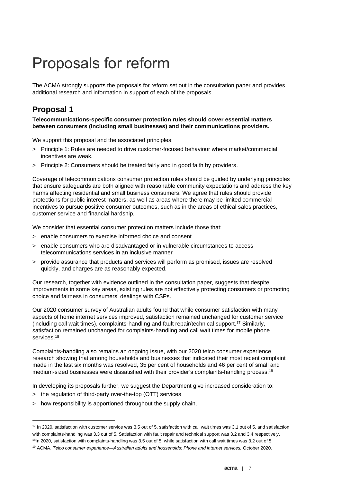## Proposals for reform

The ACMA strongly supports the proposals for reform set out in the consultation paper and provides additional research and information in support of each of the proposals.

## **Proposal 1**

#### **Telecommunications-specific consumer protection rules should cover essential matters between consumers (including small businesses) and their communications providers.**

We support this proposal and the associated principles:

- > Principle 1: Rules are needed to drive customer-focused behaviour where market/commercial incentives are weak.
- > Principle 2: Consumers should be treated fairly and in good faith by providers.

Coverage of telecommunications consumer protection rules should be guided by underlying principles that ensure safeguards are both aligned with reasonable community expectations and address the key harms affecting residential and small business consumers. We agree that rules should provide protections for public interest matters, as well as areas where there may be limited commercial incentives to pursue positive consumer outcomes, such as in the areas of ethical sales practices, customer service and financial hardship.

We consider that essential consumer protection matters include those that:

- > enable consumers to exercise informed choice and consent
- > enable consumers who are disadvantaged or in vulnerable circumstances to access telecommunications services in an inclusive manner
- > provide assurance that products and services will perform as promised, issues are resolved quickly, and charges are as reasonably expected.

Our research, together with evidence outlined in the consultation paper, suggests that despite improvements in some key areas, existing rules are not effectively protecting consumers or promoting choice and fairness in consumers' dealings with CSPs.

Our 2020 consumer survey of Australian adults found that while consumer satisfaction with many aspects of home internet services improved, satisfaction remained unchanged for customer service (including call wait times), complaints-handling and fault repair/technical support.<sup>17</sup> Similarly, satisfaction remained unchanged for complaints-handling and call wait times for mobile phone services.<sup>18</sup>

Complaints-handling also remains an ongoing issue, with our 2020 telco consumer experience research showing that among households and businesses that indicated their most recent complaint made in the last six months was resolved, 35 per cent of households and 46 per cent of small and medium-sized businesses were dissatisfied with their provider's complaints-handling process.<sup>19</sup>

In developing its proposals further, we suggest the Department give increased consideration to:

- > the regulation of third-party over-the-top (OTT) services
- > how responsibility is apportioned throughout the supply chain.

<sup>&</sup>lt;sup>17</sup> In 2020, satisfaction with customer service was 3.5 out of 5, satisfaction with call wait times was 3.1 out of 5, and satisfaction with complaints-handling was 3.3 out of 5. Satisfaction with fault repair and technical support was 3.2 and 3.4 respectively.  $18$ In 2020, satisfaction with complaints-handling was 3.5 out of 5, while satisfaction with call wait times was 3.2 out of 5

<sup>19</sup> ACMA, *Telco consumer experience—Australian adults and households: Phone and internet services,* October 2020.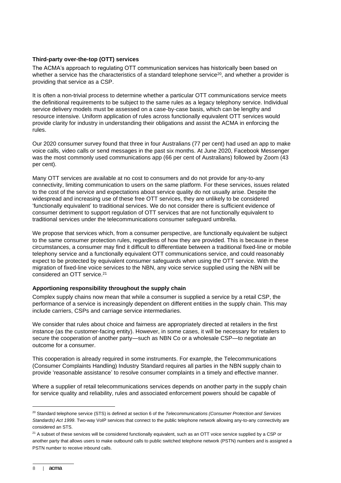### **Third-party over-the-top (OTT) services**

The ACMA's approach to regulating OTT communication services has historically been based on whether a service has the characteristics of a standard telephone service<sup>20</sup>, and whether a provider is providing that service as a CSP.

It is often a non-trivial process to determine whether a particular OTT communications service meets the definitional requirements to be subject to the same rules as a legacy telephony service. Individual service delivery models must be assessed on a case-by-case basis, which can be lengthy and resource intensive. Uniform application of rules across functionally equivalent OTT services would provide clarity for industry in understanding their obligations and assist the ACMA in enforcing the rules.

Our 2020 consumer survey found that three in four Australians (77 per cent) had used an app to make voice calls, video calls or send messages in the past six months. At June 2020, Facebook Messenger was the most commonly used communications app (66 per cent of Australians) followed by Zoom (43 per cent).

Many OTT services are available at no cost to consumers and do not provide for any-to-any connectivity, limiting communication to users on the same platform. For these services, issues related to the cost of the service and expectations about service quality do not usually arise. Despite the widespread and increasing use of these free OTT services, they are unlikely to be considered 'functionally equivalent' to traditional services. We do not consider there is sufficient evidence of consumer detriment to support regulation of OTT services that are not functionally equivalent to traditional services under the telecommunications consumer safeguard umbrella.

We propose that services which, from a consumer perspective, are functionally equivalent be subject to the same consumer protection rules, regardless of how they are provided. This is because in these circumstances, a consumer may find it difficult to differentiate between a traditional fixed-line or mobile telephony service and a functionally equivalent OTT communications service, and could reasonably expect to be protected by equivalent consumer safeguards when using the OTT service. With the migration of fixed-line voice services to the NBN, any voice service supplied using the NBN will be considered an OTT service.<sup>21</sup>

#### **Apportioning responsibility throughout the supply chain**

Complex supply chains now mean that while a consumer is supplied a service by a retail CSP, the performance of a service is increasingly dependent on different entities in the supply chain. This may include carriers, CSPs and carriage service intermediaries.

We consider that rules about choice and fairness are appropriately directed at retailers in the first instance (as the customer-facing entity). However, in some cases, it will be necessary for retailers to secure the cooperation of another party—such as NBN Co or a wholesale CSP—to negotiate an outcome for a consumer.

This cooperation is already required in some instruments. For example, the Telecommunications (Consumer Complaints Handling) Industry Standard requires all parties in the NBN supply chain to provide 'reasonable assistance' to resolve consumer complaints in a timely and effective manner.

Where a supplier of retail telecommunications services depends on another party in the supply chain for service quality and reliability, rules and associated enforcement powers should be capable of

<sup>20</sup> Standard telephone service (STS) is defined at section 6 of the *Telecommunications (Consumer Protection and Services Standards) Act 1999*. Two-way VoIP services that connect to the public telephone network allowing any-to-any connectivity are considered an STS.

<sup>&</sup>lt;sup>21</sup> A subset of these services will be considered functionally equivalent, such as an OTT voice service supplied by a CSP or another party that allows users to make outbound calls to public switched telephone network (PSTN) numbers and is assigned a PSTN number to receive inbound calls.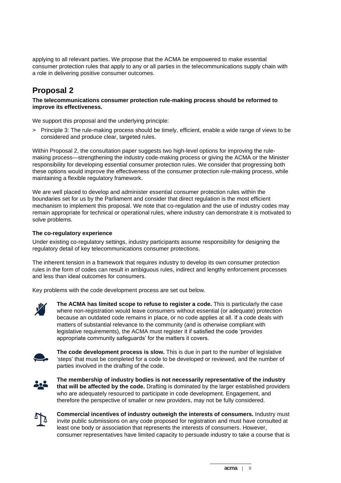applying to all relevant parties. We propose that the ACMA be empowered to make essential consumer protection rules that apply to any or all parties in the telecommunications supply chain with a role in delivering positive consumer outcomes.

## **Proposal 2**

#### **The telecommunications consumer protection rule-making process should be reformed to improve its effectiveness.**

We support this proposal and the underlying principle:

> Principle 3: The rule-making process should be timely, efficient, enable a wide range of views to be considered and produce clear, targeted rules.

Within Proposal 2, the consultation paper suggests two high-level options for improving the rulemaking process—strengthening the industry code-making process or giving the ACMA or the Minister responsibility for developing essential consumer protection rules. We consider that progressing both these options would improve the effectiveness of the consumer protection rule-making process, while maintaining a flexible regulatory framework.

We are well placed to develop and administer essential consumer protection rules within the boundaries set for us by the Parliament and consider that direct regulation is the most efficient mechanism to implement this proposal. We note that co-regulation and the use of industry codes may remain appropriate for technical or operational rules, where industry can demonstrate it is motivated to solve problems.

#### **The co-regulatory experience**

Under existing co-regulatory settings, industry participants assume responsibility for designing the regulatory detail of key telecommunications consumer protections.

The inherent tension in a framework that requires industry to develop its own consumer protection rules in the form of codes can result in ambiguous rules, indirect and lengthy enforcement processes and less than ideal outcomes for consumers.

Key problems with the code development process are set out below.



**The ACMA has limited scope to refuse to register a code.** This is particularly the case where non-registration would leave consumers without essential (or adequate) protection because an outdated code remains in place, or no code applies at all. If a code deals with matters of substantial relevance to the community (and is otherwise compliant with legislative requirements), the ACMA must register it if satisfied the code 'provides appropriate community safeguards' for the matters it covers.



**The code development process is slow.** This is due in part to the number of legislative 'steps' that must be completed for a code to be developed or reviewed, and the number of parties involved in the drafting of the code.



**The membership of industry bodies is not necessarily representative of the industry that will be affected by the code.** Drafting is dominated by the larger established providers who are adequately resourced to participate in code development. Engagement, and therefore the perspective of smaller or new providers, may not be fully considered.



**Commercial incentives of industry outweigh the interests of consumers.** Industry must invite public submissions on any code proposed for registration and must have consulted at least one body or association that represents the interests of consumers. However, consumer representatives have limited capacity to persuade industry to take a course that is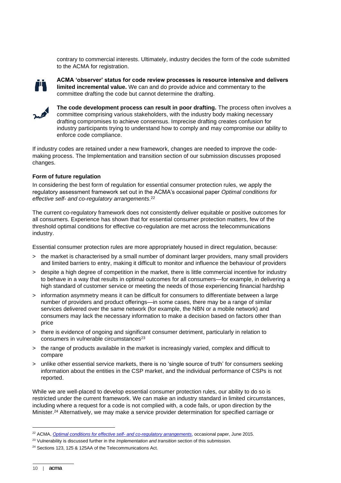contrary to commercial interests. Ultimately, industry decides the form of the code submitted to the ACMA for registration.



**ACMA 'observer' status for code review processes is resource intensive and delivers limited incremental value.** We can and do provide advice and commentary to the committee drafting the code but cannot determine the drafting.



**The code development process can result in poor drafting.** The process often involves a committee comprising various stakeholders, with the industry body making necessary drafting compromises to achieve consensus. Imprecise drafting creates confusion for industry participants trying to understand how to comply and may compromise our ability to enforce code compliance.

If industry codes are retained under a new framework, changes are needed to improve the codemaking process. The Implementation and transition section of our submission discusses proposed changes.

#### **Form of future regulation**

In considering the best form of regulation for essential consumer protection rules, we apply the regulatory assessment framework set out in the ACMA's occasional paper *Optimal conditions for effective self- and co-regulatory arrangements*. 22

The current co-regulatory framework does not consistently deliver equitable or positive outcomes for all consumers. Experience has shown that for essential consumer protection matters, few of the threshold optimal conditions for effective co-regulation are met across the telecommunications industry.

Essential consumer protection rules are more appropriately housed in direct regulation, because:

- > the market is characterised by a small number of dominant larger providers, many small providers and limited barriers to entry, making it difficult to monitor and influence the behaviour of providers
- > despite a high degree of competition in the market, there is little commercial incentive for industry to behave in a way that results in optimal outcomes for all consumers—for example, in delivering a high standard of customer service or meeting the needs of those experiencing financial hardship
- > information asymmetry means it can be difficult for consumers to differentiate between a large number of providers and product offerings—in some cases, there may be a range of similar services delivered over the same network (for example, the NBN or a mobile network) and consumers may lack the necessary information to make a decision based on factors other than price
- > there is evidence of ongoing and significant consumer detriment, particularly in relation to consumers in vulnerable circumstances<sup>23</sup>
- > the range of products available in the market is increasingly varied, complex and difficult to compare
- > unlike other essential service markets, there is no 'single source of truth' for consumers seeking information about the entities in the CSP market, and the individual performance of CSPs is not reported.

While we are well-placed to develop essential consumer protection rules, our ability to do so is restricted under the current framework. We can make an industry standard in limited circumstances, including where a request for a code is not complied with, a code fails, or upon direction by the Minister. <sup>24</sup> Alternatively, we may make a service provider determination for specified carriage or

<sup>22</sup> ACMA, *[Optimal conditions for effective self-](https://www.acma.gov.au/publications/2015-06/report/optimal-conditions-effective-self-and-co-regulatory-arrangements-2015-edition) and co-regulatory arrangements*, occasional paper, June 2015.

<sup>23</sup> Vulnerability is discussed further in the *Implementation and transition* section of this submission.

<sup>&</sup>lt;sup>24</sup> Sections 123, 125 & 125AA of the Telecommunications Act.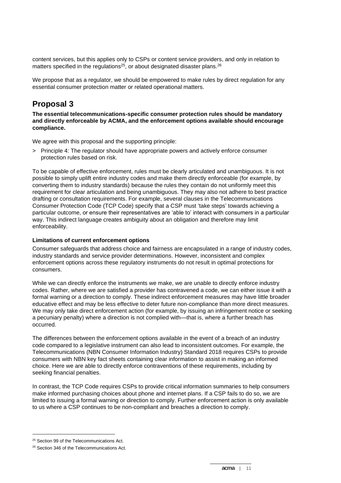content services, but this applies only to CSPs or content service providers, and only in relation to matters specified in the regulations<sup>25</sup>, or about designated disaster plans.<sup>26</sup>

We propose that as a regulator, we should be empowered to make rules by direct regulation for any essential consumer protection matter or related operational matters.

## **Proposal 3**

**The essential telecommunications-specific consumer protection rules should be mandatory and directly enforceable by ACMA, and the enforcement options available should encourage compliance.**

We agree with this proposal and the supporting principle:

> Principle 4: The regulator should have appropriate powers and actively enforce consumer protection rules based on risk.

To be capable of effective enforcement, rules must be clearly articulated and unambiguous. It is not possible to simply uplift entire industry codes and make them directly enforceable (for example, by converting them to industry standards) because the rules they contain do not uniformly meet this requirement for clear articulation and being unambiguous. They may also not adhere to best practice drafting or consultation requirements. For example, several clauses in the Telecommunications Consumer Protection Code (TCP Code) specify that a CSP must 'take steps' towards achieving a particular outcome, or ensure their representatives are 'able to' interact with consumers in a particular way. This indirect language creates ambiguity about an obligation and therefore may limit enforceability.

### **Limitations of current enforcement options**

Consumer safeguards that address choice and fairness are encapsulated in a range of industry codes, industry standards and service provider determinations. However, inconsistent and complex enforcement options across these regulatory instruments do not result in optimal protections for consumers.

While we can directly enforce the instruments we make, we are unable to directly enforce industry codes. Rather, where we are satisfied a provider has contravened a code, we can either issue it with a formal warning or a direction to comply. These indirect enforcement measures may have little broader educative effect and may be less effective to deter future non-compliance than more direct measures. We may only take direct enforcement action (for example, by issuing an infringement notice or seeking a pecuniary penalty) where a direction is not complied with—that is, where a further breach has occurred.

The differences between the enforcement options available in the event of a breach of an industry code compared to a legislative instrument can also lead to inconsistent outcomes. For example, the Telecommunications (NBN Consumer Information Industry) Standard 2018 requires CSPs to provide consumers with NBN key fact sheets containing clear information to assist in making an informed choice. Here we are able to directly enforce contraventions of these requirements, including by seeking financial penalties.

In contrast, the TCP Code requires CSPs to provide critical information summaries to help consumers make informed purchasing choices about phone and internet plans. If a CSP fails to do so, we are limited to issuing a formal warning or direction to comply. Further enforcement action is only available to us where a CSP continues to be non-compliant and breaches a direction to comply.

<sup>&</sup>lt;sup>25</sup> Section 99 of the Telecommunications Act.

<sup>&</sup>lt;sup>26</sup> Section 346 of the Telecommunications Act.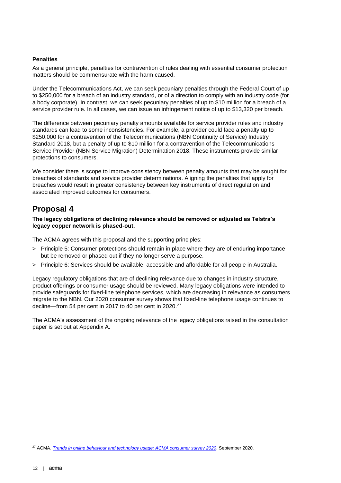#### **Penalties**

As a general principle, penalties for contravention of rules dealing with essential consumer protection matters should be commensurate with the harm caused.

Under the Telecommunications Act, we can seek pecuniary penalties through the Federal Court of up to \$250,000 for a breach of an industry standard, or of a direction to comply with an industry code (for a body corporate). In contrast, we can seek pecuniary penalties of up to \$10 million for a breach of a service provider rule. In all cases, we can issue an infringement notice of up to \$13,320 per breach.

The difference between pecuniary penalty amounts available for service provider rules and industry standards can lead to some inconsistencies. For example, a provider could face a penalty up to \$250,000 for a contravention of the Telecommunications (NBN Continuity of Service) Industry Standard 2018, but a penalty of up to \$10 million for a contravention of the Telecommunications Service Provider (NBN Service Migration) Determination 2018. These instruments provide similar protections to consumers.

We consider there is scope to improve consistency between penalty amounts that may be sought for breaches of standards and service provider determinations. Aligning the penalties that apply for breaches would result in greater consistency between key instruments of direct regulation and associated improved outcomes for consumers.

### **Proposal 4**

**The legacy obligations of declining relevance should be removed or adjusted as Telstra's legacy copper network is phased-out.**

The ACMA agrees with this proposal and the supporting principles:

- > Principle 5: Consumer protections should remain in place where they are of enduring importance but be removed or phased out if they no longer serve a purpose.
- > Principle 6: Services should be available, accessible and affordable for all people in Australia.

Legacy regulatory obligations that are of declining relevance due to changes in industry structure, product offerings or consumer usage should be reviewed. Many legacy obligations were intended to provide safeguards for fixed-line telephone services, which are decreasing in relevance as consumers migrate to the NBN. Our 2020 consumer survey shows that fixed-line telephone usage continues to decline—from 54 per cent in 2017 to 40 per cent in 2020.<sup>27</sup>

The ACMA's assessment of the ongoing relevance of the legacy obligations raised in the consultation paper is set out at Appendix A.

<sup>27</sup> ACMA, *[Trends in online behaviour and technology usage: ACMA consumer survey 2020](https://acma.createsend1.com/t/d-l-ctrxkl-l-t/)*, September 2020.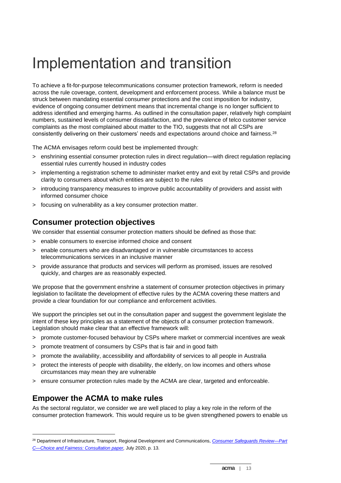## Implementation and transition

To achieve a fit-for-purpose telecommunications consumer protection framework, reform is needed across the rule coverage, content, development and enforcement process. While a balance must be struck between mandating essential consumer protections and the cost imposition for industry, evidence of ongoing consumer detriment means that incremental change is no longer sufficient to address identified and emerging harms. As outlined in the consultation paper, relatively high complaint numbers, sustained levels of consumer dissatisfaction, and the prevalence of telco customer service complaints as the most complained about matter to the TIO, suggests that not all CSPs are consistently delivering on their customers' needs and expectations around choice and fairness.<sup>28</sup>

The ACMA envisages reform could best be implemented through:

- > enshrining essential consumer protection rules in direct regulation—with direct regulation replacing essential rules currently housed in industry codes
- > implementing a registration scheme to administer market entry and exit by retail CSPs and provide clarity to consumers about which entities are subject to the rules
- > introducing transparency measures to improve public accountability of providers and assist with informed consumer choice
- > focusing on vulnerability as a key consumer protection matter.

### **Consumer protection objectives**

We consider that essential consumer protection matters should be defined as those that:

- > enable consumers to exercise informed choice and consent
- > enable consumers who are disadvantaged or in vulnerable circumstances to access telecommunications services in an inclusive manner
- > provide assurance that products and services will perform as promised, issues are resolved quickly, and charges are as reasonably expected.

We propose that the government enshrine a statement of consumer protection objectives in primary legislation to facilitate the development of effective rules by the ACMA covering these matters and provide a clear foundation for our compliance and enforcement activities.

We support the principles set out in the consultation paper and suggest the government legislate the intent of these key principles as a statement of the objects of a consumer protection framework. Legislation should make clear that an effective framework will:

- > promote customer-focused behaviour by CSPs where market or commercial incentives are weak
- > promote treatment of consumers by CSPs that is fair and in good faith
- > promote the availability, accessibility and affordability of services to all people in Australia
- > protect the interests of people with disability, the elderly, on low incomes and others whose circumstances may mean they are vulnerable
- > ensure consumer protection rules made by the ACMA are clear, targeted and enforceable.

### **Empower the ACMA to make rules**

As the sectoral regulator, we consider we are well placed to play a key role in the reform of the consumer protection framework. This would require us to be given strengthened powers to enable us

<sup>28</sup> Department of Infrastructure, Transport, Regional Development and Communications, *[Consumer Safeguards Review—Part](https://www.communications.gov.au/have-your-say/consumer-safeguards-review-consultation-part-c-choice-and-fairness) [C—Choice and Fairness: Consultation paper,](https://www.communications.gov.au/have-your-say/consumer-safeguards-review-consultation-part-c-choice-and-fairness)* July 2020, p. 13.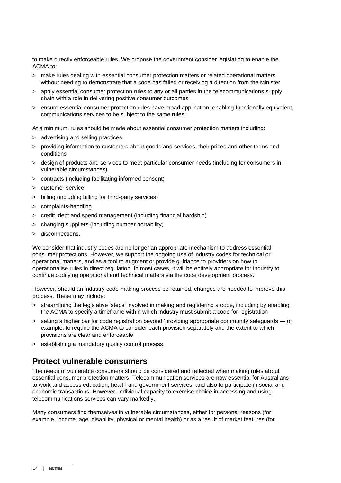to make directly enforceable rules. We propose the government consider legislating to enable the ACMA to:

- > make rules dealing with essential consumer protection matters or related operational matters without needing to demonstrate that a code has failed or receiving a direction from the Minister
- > apply essential consumer protection rules to any or all parties in the telecommunications supply chain with a role in delivering positive consumer outcomes
- > ensure essential consumer protection rules have broad application, enabling functionally equivalent communications services to be subject to the same rules.

At a minimum, rules should be made about essential consumer protection matters including:

- > advertising and selling practices
- > providing information to customers about goods and services, their prices and other terms and conditions
- > design of products and services to meet particular consumer needs (including for consumers in vulnerable circumstances)
- > contracts (including facilitating informed consent)
- > customer service
- > billing (including billing for third-party services)
- > complaints-handling
- > credit, debt and spend management (including financial hardship)
- > changing suppliers (including number portability)
- > disconnections.

We consider that industry codes are no longer an appropriate mechanism to address essential consumer protections. However, we support the ongoing use of industry codes for technical or operational matters, and as a tool to augment or provide guidance to providers on how to operationalise rules in direct regulation. In most cases, it will be entirely appropriate for industry to continue codifying operational and technical matters via the code development process.

However, should an industry code-making process be retained, changes are needed to improve this process. These may include:

- > streamlining the legislative 'steps' involved in making and registering a code, including by enabling the ACMA to specify a timeframe within which industry must submit a code for registration
- > setting a higher bar for code registration beyond 'providing appropriate community safeguards'—for example, to require the ACMA to consider each provision separately and the extent to which provisions are clear and enforceable
- > establishing a mandatory quality control process.

### **Protect vulnerable consumers**

The needs of vulnerable consumers should be considered and reflected when making rules about essential consumer protection matters. Telecommunication services are now essential for Australians to work and access education, health and government services, and also to participate in social and economic transactions. However, individual capacity to exercise choice in accessing and using telecommunications services can vary markedly.

Many consumers find themselves in vulnerable circumstances, either for personal reasons (for example, income, age, disability, physical or mental health) or as a result of market features (for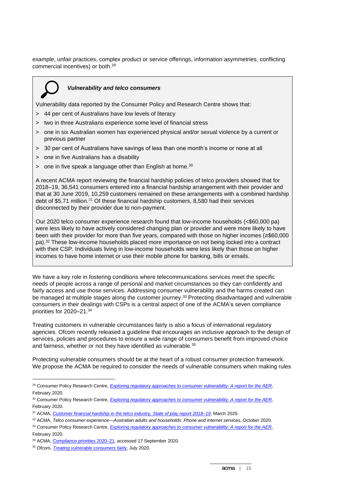example, unfair practices, complex product or service offerings, information asymmetries, conflicting commercial incentives) or both. 29



#### *Vulnerability and telco consumers*

Vulnerability data reported by the Consumer Policy and Research Centre shows that:

- > 44 per cent of Australians have low levels of literacy
- > two in three Australians experience some level of financial stress
- > one in six Australian women has experienced physical and/or sexual violence by a current or previous partner
- > 30 per cent of Australians have savings of less than one month's income or none at all
- > one in five Australians has a disability
- $>$  one in five speak a language other than English at home.<sup>30</sup>

A recent ACMA report reviewing the financial hardship policies of telco providers showed that for 2018–19, 36,541 consumers entered into a financial hardship arrangement with their provider and that at 30 June 2019, 10,259 customers remained on these arrangements with a combined hardship debt of \$5.71 million.<sup>31</sup> Of these financial hardship customers, 8,580 had their services disconnected by their provider due to non-payment.

Our 2020 telco consumer experience research found that low-income households (<\$60,000 pa) were less likely to have actively considered changing plan or provider and were more likely to have been with their provider for more than five years, compared with those on higher incomes (≥\$60,000 pa).<sup>32</sup> These low-income households placed more importance on not being locked into a contract with their CSP. Individuals living in low-income households were less likely than those on higher incomes to have home internet or use their mobile phone for banking, bills or emails.

We have a key role in fostering conditions where telecommunications services meet the specific needs of people across a range of personal and market circumstances so they can confidently and fairly access and use those services. Addressing consumer vulnerability and the harms created can be managed at multiple stages along the customer journey. <sup>33</sup> Protecting disadvantaged and vulnerable consumers in their dealings with CSPs is a central aspect of one of the ACMA's seven compliance priorities for 2020–21. 34

Treating customers in vulnerable circumstances fairly is also a focus of international regulatory agencies. Ofcom recently released a guideline that encourages an inclusive approach to the design of services, policies and procedures to ensure a wide range of consumers benefit from improved choice and fairness, whether or not they have identified as vulnerable. 35

Protecting vulnerable consumers should be at the heart of a robust consumer protection framework. We propose the ACMA be required to consider the needs of vulnerable consumers when making rules

<sup>34</sup> ACMA, [Compliance priorities 2020–21,](https://www.acma.gov.au/compliance-priorities) accessed 17 September 2020.

<sup>&</sup>lt;sup>29</sup> Consumer Policy Research Centre, *[Exploring regulatory approaches to consumer vulnerability: A report for the AER](https://www.aer.gov.au/publications/corporate-documents/exploring-regulatory-approaches-to-consumer-vulnerability-a-report-for-the-aer)*, February 2020.

<sup>30</sup> Consumer Policy Research Centre, *[Exploring regulatory approaches to consumer vulnerability: A report for the AER](https://www.aer.gov.au/publications/corporate-documents/exploring-regulatory-approaches-to-consumer-vulnerability-a-report-for-the-aer)*, February 2020.

<sup>31</sup> ACMA, *[Customer financial hardship in the telco industry, State of play report 2018–19](https://www.acma.gov.au/publications/2020-03/report/financial-hardship-telco-industry)*, March 2020.

<sup>32</sup> ACMA, *Telco consumer experience—Australian adults and households: Phone and internet services*, October 2020.

<sup>33</sup> Consumer Policy Research Centre, *[Exploring regulatory approaches to consumer vulnerability: A report for the AER](https://www.aer.gov.au/publications/corporate-documents/exploring-regulatory-approaches-to-consumer-vulnerability-a-report-for-the-aer)*, February 2020.

<sup>35</sup> Ofcom, *[Treating vulnerable consumers fairly](https://www.ofcom.org.uk/__data/assets/pdf_file/0034/198763/treating-vulnerable-customer-fairly-guide.pdf)*, July 2020.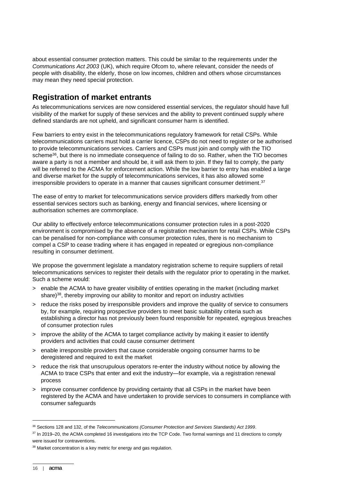about essential consumer protection matters. This could be similar to the requirements under the *Communications Act 2003* (UK), which require Ofcom to, where relevant, consider the needs of people with disability, the elderly, those on low incomes, children and others whose circumstances may mean they need special protection.

## **Registration of market entrants**

As telecommunications services are now considered essential services, the regulator should have full visibility of the market for supply of these services and the ability to prevent continued supply where defined standards are not upheld, and significant consumer harm is identified.

Few barriers to entry exist in the telecommunications regulatory framework for retail CSPs. While telecommunications carriers must hold a carrier licence, CSPs do not need to register or be authorised to provide telecommunications services. Carriers and CSPs must join and comply with the TIO scheme<sup>36</sup>, but there is no immediate consequence of failing to do so. Rather, when the TIO becomes aware a party is not a member and should be, it will ask them to join. If they fail to comply, the party will be referred to the ACMA for enforcement action. While the low barrier to entry has enabled a large and diverse market for the supply of telecommunications services, it has also allowed some irresponsible providers to operate in a manner that causes significant consumer detriment. $37$ 

The ease of entry to market for telecommunications service providers differs markedly from other essential services sectors such as banking, energy and financial services, where licensing or authorisation schemes are commonplace.

Our ability to effectively enforce telecommunications consumer protection rules in a post-2020 environment is compromised by the absence of a registration mechanism for retail CSPs. While CSPs can be penalised for non-compliance with consumer protection rules, there is no mechanism to compel a CSP to cease trading where it has engaged in repeated or egregious non-compliance resulting in consumer detriment.

We propose the government legislate a mandatory registration scheme to require suppliers of retail telecommunications services to register their details with the regulator prior to operating in the market. Such a scheme would:

- > enable the ACMA to have greater visibility of entities operating in the market (including market share)<sup>38</sup>, thereby improving our ability to monitor and report on industry activities
- > reduce the risks posed by irresponsible providers and improve the quality of service to consumers by, for example, requiring prospective providers to meet basic suitability criteria such as establishing a director has not previously been found responsible for repeated, egregious breaches of consumer protection rules
- > improve the ability of the ACMA to target compliance activity by making it easier to identify providers and activities that could cause consumer detriment
- > enable irresponsible providers that cause considerable ongoing consumer harms to be deregistered and required to exit the market
- > reduce the risk that unscrupulous operators re-enter the industry without notice by allowing the ACMA to trace CSPs that enter and exit the industry—for example, via a registration renewal process
- > improve consumer confidence by providing certainty that all CSPs in the market have been registered by the ACMA and have undertaken to provide services to consumers in compliance with consumer safeguards

<sup>36</sup> Sections 128 and 132, of the *Telecommunications (Consumer Protection and Services Standards) Act 1999*.

<sup>37</sup> In 2019–20, the ACMA completed 16 investigations into the TCP Code. Two formal warnings and 11 directions to comply were issued for contraventions.

<sup>&</sup>lt;sup>38</sup> Market concentration is a key metric for energy and gas regulation.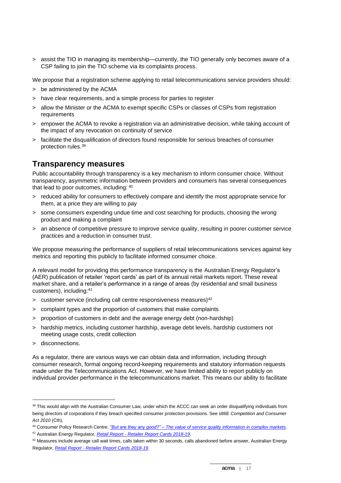> assist the TIO in managing its membership—currently, the TIO generally only becomes aware of a CSP failing to join the TIO scheme via its complaints process.

We propose that a registration scheme applying to retail telecommunications service providers should:

- > be administered by the ACMA
- > have clear requirements, and a simple process for parties to register
- > allow the Minister or the ACMA to exempt specific CSPs or classes of CSPs from registration requirements
- > empower the ACMA to revoke a registration via an administrative decision, while taking account of the impact of any revocation on continuity of service
- > facilitate the disqualification of directors found responsible for serious breaches of consumer protection rules.<sup>39</sup>

### **Transparency measures**

Public accountability through transparency is a key mechanism to inform consumer choice. Without transparency, asymmetric information between providers and consumers has several consequences that lead to poor outcomes, including: 40

- > reduced ability for consumers to effectively compare and identify the most appropriate service for them, at a price they are willing to pay
- > some consumers expending undue time and cost searching for products, choosing the wrong product and making a complaint
- > an absence of competitive pressure to improve service quality, resulting in poorer customer service practices and a reduction in consumer trust.

We propose measuring the performance of suppliers of retail telecommunications services against key metrics and reporting this publicly to facilitate informed consumer choice.

A relevant model for providing this performance transparency is the Australian Energy Regulator's (AER) publication of retailer 'report cards' as part of its annual retail markets report. These reveal market share, and a retailer's performance in a range of areas (by residential and small business customers), including:<sup>41</sup>

- $>$  customer service (including call centre responsiveness measures)<sup>42</sup>
- > complaint types and the proportion of customers that make complaints
- > proportion of customers in debt and the average energy debt (non-hardship)
- > hardship metrics, including customer hardship, average debt levels, hardship customers not meeting usage costs, credit collection
- > disconnections.

As a regulator, there are various ways we can obtain data and information, including through consumer research, formal ongoing record-keeping requirements and statutory information requests made under the Telecommunications Act. However, we have limited ability to report publicly on individual provider performance in the telecommunications market. This means our ability to facilitate

<sup>39</sup> This would align with the Australian Consumer Law, under which the ACCC can seek an order disqualifying individuals from being directors of corporations if they breach specified consumer protection provisions. See s86E *Competition and Consumer Act 2010* (Cth).

<sup>40</sup> Consumer Policy Research Centre, *"But are they any good?" – [The value of service quality information in complex markets.](https://cprc.org.au/wp-content/uploads/CPRC-2018-But-are-they-any-good-1.pdf)*

<sup>41</sup> Australian Energy Regulator, *Retail Report - [Retailer Report Cards 2018-19](https://www.aer.gov.au/system/files/AER%20Retail%20Report%20Retailer%20Report%20Cards%202018-19.pdf)*.

 $42$  Measures include average call wait times, calls taken within 30 seconds, calls abandoned before answer, Australian Energy Regulator, *Retail Report - [Retailer Report Cards 2018-19](https://www.aer.gov.au/system/files/AER%20Retail%20Report%20Retailer%20Report%20Cards%202018-19.pdf)*.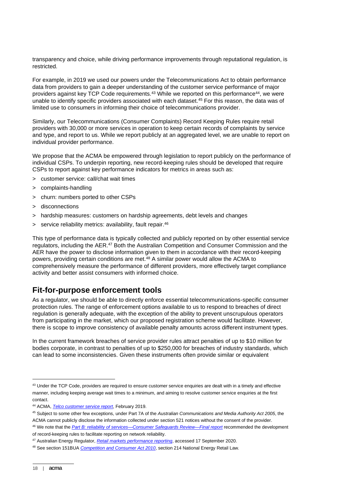transparency and choice, while driving performance improvements through reputational regulation, is restricted.

For example, in 2019 we used our powers under the Telecommunications Act to obtain performance data from providers to gain a deeper understanding of the customer service performance of major providers against key TCP Code requirements.<sup>43</sup> While we reported on this performance<sup>44</sup>, we were unable to identify specific providers associated with each dataset.<sup>45</sup> For this reason, the data was of limited use to consumers in informing their choice of telecommunications provider.

Similarly, our Telecommunications (Consumer Complaints) Record Keeping Rules require retail providers with 30,000 or more services in operation to keep certain records of complaints by service and type, and report to us. While we report publicly at an aggregated level, we are unable to report on individual provider performance.

We propose that the ACMA be empowered through legislation to report publicly on the performance of individual CSPs. To underpin reporting, new record-keeping rules should be developed that require CSPs to report against key performance indicators for metrics in areas such as:

- > customer service: call/chat wait times
- > complaints-handling
- > churn: numbers ported to other CSPs
- > disconnections
- > hardship measures: customers on hardship agreements, debt levels and changes
- > service reliability metrics: availability, fault repair. 46

This type of performance data is typically collected and publicly reported on by other essential service regulators, including the AER.<sup>47</sup> Both the Australian Competition and Consumer Commission and the AER have the power to disclose information given to them in accordance with their record-keeping powers, providing certain conditions are met.<sup>48</sup> A similar power would allow the ACMA to comprehensively measure the performance of different providers, more effectively target compliance activity and better assist consumers with informed choice.

### **Fit-for-purpose enforcement tools**

As a regulator, we should be able to directly enforce essential telecommunications-specific consumer protection rules. The range of enforcement options available to us to respond to breaches of direct regulation is generally adequate, with the exception of the ability to prevent unscrupulous operators from participating in the market, which our proposed registration scheme would facilitate. However, there is scope to improve consistency of available penalty amounts across different instrument types.

In the current framework breaches of service provider rules attract penalties of up to \$10 million for bodies corporate, in contrast to penalties of up to \$250,000 for breaches of industry standards, which can lead to some inconsistencies. Given these instruments often provide similar or equivalent

<sup>43</sup> Under the TCP Code, providers are required to ensure customer service enquiries are dealt with in a timely and effective manner, including keeping average wait times to a minimum, and aiming to resolve customer service enquiries at the first contact.

<sup>44</sup> ACMA, *[Telco customer service report](https://www.acma.gov.au/publications/2019-12/report/telco-customer-service-report)*, February 2019.

<sup>45</sup> Subject to some other few exceptions, under Part 7A of the *Australian Communications and Media Authority Act 2005*, the ACMA cannot publicly disclose the information collected under section 521 notices without the consent of the provider.

<sup>46</sup> We note that the *[Part B: reliability of services—Consumer Safeguards Review—Final report](https://www.communications.gov.au/documents/part-b-reliability-services-consumer-safeguards-review-final-report)* recommended the development of record-keeping rules to facilitate reporting on network reliability.

<sup>47</sup> Australian Energy Regulator, *[Retail markets performance reporting](https://www.aer.gov.au/retail-markets/performance-reporting)*, accessed 17 September 2020.

<sup>48</sup> See section 151BUA *[Competition and Consumer Act 2010](https://www.legislation.gov.au/Details/C2020C00264/Html/Volume_2#_Toc50464099)*, section 214 National Energy Retail Law.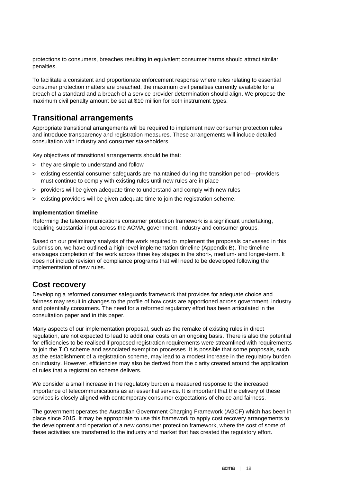protections to consumers, breaches resulting in equivalent consumer harms should attract similar penalties.

To facilitate a consistent and proportionate enforcement response where rules relating to essential consumer protection matters are breached, the maximum civil penalties currently available for a breach of a standard and a breach of a service provider determination should align. We propose the maximum civil penalty amount be set at \$10 million for both instrument types.

## **Transitional arrangements**

Appropriate transitional arrangements will be required to implement new consumer protection rules and introduce transparency and registration measures. These arrangements will include detailed consultation with industry and consumer stakeholders.

Key objectives of transitional arrangements should be that:

- > they are simple to understand and follow
- > existing essential consumer safeguards are maintained during the transition period—providers must continue to comply with existing rules until new rules are in place
- > providers will be given adequate time to understand and comply with new rules
- > existing providers will be given adequate time to join the registration scheme.

#### **Implementation timeline**

Reforming the telecommunications consumer protection framework is a significant undertaking, requiring substantial input across the ACMA, government, industry and consumer groups.

Based on our preliminary analysis of the work required to implement the proposals canvassed in this submission, we have outlined a high-level implementation timeline (Appendix B). The timeline envisages completion of the work across three key stages in the short-, medium- and longer-term. It does not include revision of compliance programs that will need to be developed following the implementation of new rules.

### **Cost recovery**

Developing a reformed consumer safeguards framework that provides for adequate choice and fairness may result in changes to the profile of how costs are apportioned across government, industry and potentially consumers. The need for a reformed regulatory effort has been articulated in the consultation paper and in this paper.

Many aspects of our implementation proposal, such as the remake of existing rules in direct regulation, are not expected to lead to additional costs on an ongoing basis. There is also the potential for efficiencies to be realised if proposed registration requirements were streamlined with requirements to join the TIO scheme and associated exemption processes. It is possible that some proposals, such as the establishment of a registration scheme, may lead to a modest increase in the regulatory burden on industry. However, efficiencies may also be derived from the clarity created around the application of rules that a registration scheme delivers.

We consider a small increase in the regulatory burden a measured response to the increased importance of telecommunications as an essential service. It is important that the delivery of these services is closely aligned with contemporary consumer expectations of choice and fairness.

The government operates the Australian Government Charging Framework (AGCF) which has been in place since 2015. It may be appropriate to use this framework to apply cost recovery arrangements to the development and operation of a new consumer protection framework, where the cost of some of these activities are transferred to the industry and market that has created the regulatory effort.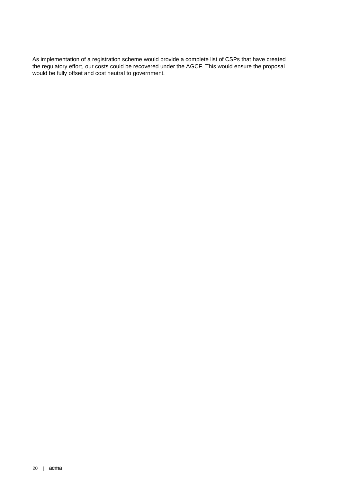As implementation of a registration scheme would provide a complete list of CSPs that have created the regulatory effort, our costs could be recovered under the AGCF. This would ensure the proposal would be fully offset and cost neutral to government.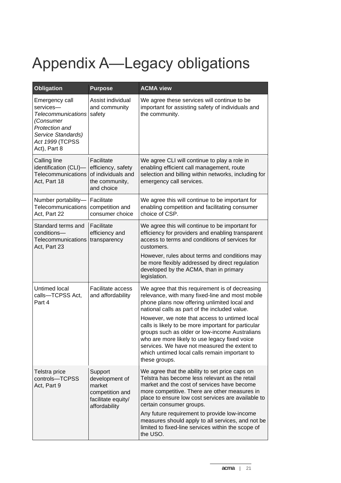# Appendix A—Legacy obligations

| <b>Obligation</b>                                                                                                                                | <b>Purpose</b>                                                                                | <b>ACMA view</b>                                                                                                                                                                                                                                                                                                                                                                                                                                                                                                                 |
|--------------------------------------------------------------------------------------------------------------------------------------------------|-----------------------------------------------------------------------------------------------|----------------------------------------------------------------------------------------------------------------------------------------------------------------------------------------------------------------------------------------------------------------------------------------------------------------------------------------------------------------------------------------------------------------------------------------------------------------------------------------------------------------------------------|
| Emergency call<br>services-<br><b>Telecommunications</b><br>(Consumer<br>Protection and<br>Service Standards)<br>Act 1999 (TCPSS<br>Act), Part 8 | Assist individual<br>and community<br>safety                                                  | We agree these services will continue to be<br>important for assisting safety of individuals and<br>the community.                                                                                                                                                                                                                                                                                                                                                                                                               |
| Calling line<br>identification (CLI)-<br>Telecommunications<br>Act, Part 18                                                                      | Facilitate<br>efficiency, safety<br>of individuals and<br>the community,<br>and choice        | We agree CLI will continue to play a role in<br>enabling efficient call management, route<br>selection and billing within networks, including for<br>emergency call services.                                                                                                                                                                                                                                                                                                                                                    |
| Number portability-<br>Telecommunications<br>Act, Part 22                                                                                        | Facilitate<br>competition and<br>consumer choice                                              | We agree this will continue to be important for<br>enabling competition and facilitating consumer<br>choice of CSP.                                                                                                                                                                                                                                                                                                                                                                                                              |
| Standard terms and<br>conditions-<br>Telecommunications<br>Act, Part 23                                                                          | Facilitate<br>efficiency and<br>transparency                                                  | We agree this will continue to be important for<br>efficiency for providers and enabling transparent<br>access to terms and conditions of services for<br>customers.<br>However, rules about terms and conditions may<br>be more flexibly addressed by direct regulation<br>developed by the ACMA, than in primary<br>legislation.                                                                                                                                                                                               |
| Untimed local<br>calls-TCPSS Act,<br>Part 4                                                                                                      | <b>Facilitate access</b><br>and affordability                                                 | We agree that this requirement is of decreasing<br>relevance, with many fixed-line and most mobile<br>phone plans now offering unlimited local and<br>national calls as part of the included value.<br>However, we note that access to untimed local<br>calls is likely to be more important for particular<br>groups such as older or low-income Australians<br>who are more likely to use legacy fixed voice<br>services. We have not measured the extent to<br>which untimed local calls remain important to<br>these groups. |
| Telstra price<br>controls-TCPSS<br>Act, Part 9                                                                                                   | Support<br>development of<br>market<br>competition and<br>facilitate equity/<br>affordability | We agree that the ability to set price caps on<br>Telstra has become less relevant as the retail<br>market and the cost of services have become<br>more competitive. There are other measures in<br>place to ensure low cost services are available to<br>certain consumer groups.<br>Any future requirement to provide low-income<br>measures should apply to all services, and not be<br>limited to fixed-line services within the scope of<br>the USO.                                                                        |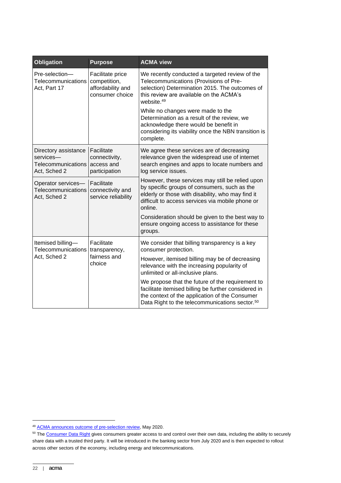| <b>Obligation</b>                                                                                                 | <b>Purpose</b>                                                           | <b>ACMA view</b>                                                                                                                                                                                                         |
|-------------------------------------------------------------------------------------------------------------------|--------------------------------------------------------------------------|--------------------------------------------------------------------------------------------------------------------------------------------------------------------------------------------------------------------------|
| Pre-selection-<br>Telecommunications<br>Act, Part 17                                                              | Facilitate price<br>competition,<br>affordability and<br>consumer choice | We recently conducted a targeted review of the<br>Telecommunications (Provisions of Pre-<br>selection) Determination 2015. The outcomes of<br>this review are available on the ACMA's<br>website. <sup>49</sup>          |
|                                                                                                                   |                                                                          | While no changes were made to the<br>Determination as a result of the review, we<br>acknowledge there would be benefit in<br>considering its viability once the NBN transition is<br>complete.                           |
| Directory assistance<br>services-<br>Telecommunications<br>Act, Sched 2                                           | Facilitate<br>connectivity,<br>access and<br>participation               | We agree these services are of decreasing<br>relevance given the widespread use of internet<br>search engines and apps to locate numbers and<br>log service issues.                                                      |
| Operator services-<br>Facilitate<br>Telecommunications<br>connectivity and<br>service reliability<br>Act, Sched 2 |                                                                          | However, these services may still be relied upon<br>by specific groups of consumers, such as the<br>elderly or those with disability, who may find it<br>difficult to access services via mobile phone or<br>online.     |
|                                                                                                                   |                                                                          | Consideration should be given to the best way to<br>ensure ongoing access to assistance for these<br>groups.                                                                                                             |
| Itemised billing-<br>Telecommunications<br>Act, Sched 2                                                           | Facilitate<br>transparency,<br>fairness and<br>choice                    | We consider that billing transparency is a key<br>consumer protection.                                                                                                                                                   |
|                                                                                                                   |                                                                          | However, itemised billing may be of decreasing<br>relevance with the increasing popularity of<br>unlimited or all-inclusive plans.                                                                                       |
|                                                                                                                   |                                                                          | We propose that the future of the requirement to<br>facilitate itemised billing be further considered in<br>the context of the application of the Consumer<br>Data Right to the telecommunications sector. <sup>50</sup> |

<sup>49</sup> [ACMA announces outcome of pre-selection review,](https://www.acma.gov.au/publications/2020-05/publication/acma-announces-outcome-pre-selection-review) May 2020.

<sup>&</sup>lt;sup>50</sup> Th[e Consumer Data Right](https://www.accc.gov.au/focus-areas/consumer-data-right-cdr-0) gives consumers greater access to and control over their own data, including the ability to securely share data with a trusted third party. It will be introduced in the banking sector from July 2020 and is then expected to rollout across other sectors of the economy, including energy and telecommunications.